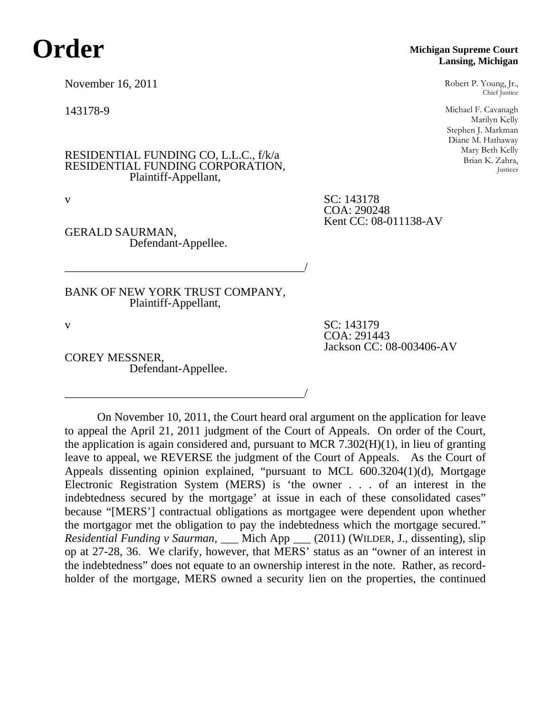## **Order**

November 16, 2011

143178-9

RESIDENTIAL FUNDING CO, L.L.C., f/k/a RESIDENTIAL FUNDING CORPORATION, Plaintiff-Appellant,

v SC: 143178

GERALD SAURMAN, Defendant-Appellee.

BANK OF NEW YORK TRUST COMPANY, Plaintiff-Appellant,

\_\_\_\_\_\_\_\_\_\_\_\_\_\_\_\_\_\_\_\_\_\_\_\_\_\_\_\_\_\_\_\_\_\_\_\_\_\_\_\_\_/

\_\_\_\_\_\_\_\_\_\_\_\_\_\_\_\_\_\_\_\_\_\_\_\_\_\_\_\_\_\_\_\_\_\_\_\_\_\_\_\_\_/

COREY MESSNER, Defendant-Appellee.

v SC: 143179 COA: 291443 Jackson CC: 08-003406-AV

COA: 290248

Kent CC: 08-011138-AV

On November 10, 2011, the Court heard oral argument on the application for leave to appeal the April 21, 2011 judgment of the Court of Appeals. On order of the Court, the application is again considered and, pursuant to MCR  $7.302(H)(1)$ , in lieu of granting leave to appeal, we REVERSE the judgment of the Court of Appeals. As the Court of Appeals dissenting opinion explained, "pursuant to MCL 600.3204(1)(d), Mortgage Electronic Registration System (MERS) is 'the owner . . . of an interest in the indebtedness secured by the mortgage' at issue in each of these consolidated cases" because "[MERS'] contractual obligations as mortgagee were dependent upon whether the mortgagor met the obligation to pay the indebtedness which the mortgage secured." *Residential Funding v Saurman*, \_\_\_ Mich App \_\_\_ (2011) (WILDER, J., dissenting), slip op at 27-28, 36. We clarify, however, that MERS' status as an "owner of an interest in the indebtedness" does not equate to an ownership interest in the note. Rather, as recordholder of the mortgage, MERS owned a security lien on the properties, the continued

## **Michigan Supreme Court Lansing, Michigan**

Robert P. Young, Jr., Chief Justice

Michael F. Cavanagh Marilyn Kelly Stephen J. Markman Diane M. Hathaway Mary Beth Kelly Brian K. Zahra, Justices